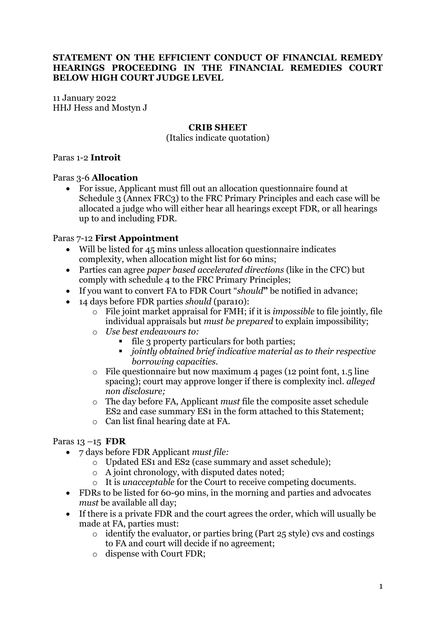#### **STATEMENT ON THE EFFICIENT CONDUCT OF FINANCIAL REMEDY HEARINGS PROCEEDING IN THE FINANCIAL REMEDIES COURT BELOW HIGH COURT JUDGE LEVEL**

11 January 2022 HHJ Hess and Mostyn J

#### **CRIB SHEET**

(Italics indicate quotation)

#### Paras 1-2 **Introit**

#### Paras 3-6 **Allocation**

• For issue, Applicant must fill out an allocation questionnaire found at Schedule 3 (Annex FRC3) to the FRC Primary Principles and each case will be allocated a judge who will either hear all hearings except FDR, or all hearings up to and including FDR.

#### Paras 7-12 **First Appointment**

- Will be listed for 45 mins unless allocation questionnaire indicates complexity, when allocation might list for 60 mins;
- Parties can agree *paper based accelerated directions* (like in the CFC) but comply with schedule 4 to the FRC Primary Principles;
- If you want to convert FA to FDR Court "*should***"** be notified in advance;
- 14 days before FDR parties *should* (para10):
	- o File joint market appraisal for FMH; if it is *impossible* to file jointly, file individual appraisals but *must be prepared* to explain impossibility;
	- o *Use best endeavours to:*
		- file 3 property particulars for both parties;
		- *jointly obtained brief indicative material as to their respective borrowing capacities.*
	- $\circ$  File questionnaire but now maximum 4 pages (12 point font, 1.5 line spacing); court may approve longer if there is complexity incl. *alleged non disclosure;*
	- o The day before FA, Applicant *must* file the composite asset schedule ES2 and case summary ES1 in the form attached to this Statement;
	- o Can list final hearing date at FA.

#### Paras 13 –15 **FDR**

- 7 days before FDR Applicant *must file:*
	- o Updated ES1 and ES2 (case summary and asset schedule);
	- o A joint chronology, with disputed dates noted;
	- o It is *unacceptable* for the Court to receive competing documents.
- FDRs to be listed for 60-90 mins, in the morning and parties and advocates *must* be available all day;
- If there is a private FDR and the court agrees the order, which will usually be made at FA, parties must:
	- $\circ$  identify the evaluator, or parties bring (Part 25 style) cvs and costings to FA and court will decide if no agreement;
	- o dispense with Court FDR;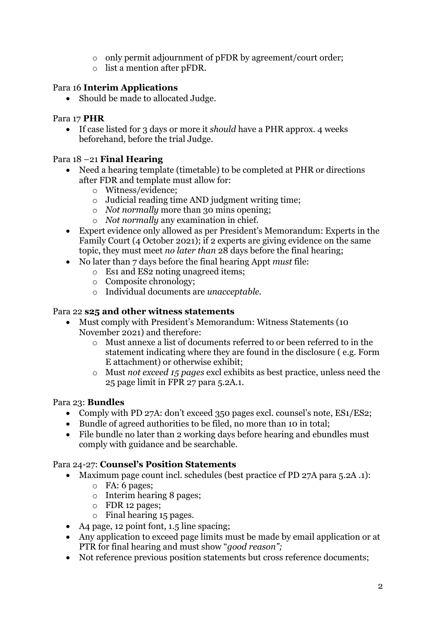- o only permit adjournment of pFDR by agreement/court order;
- o list a mention after pFDR.

# Para 16 **Interim Applications**

• Should be made to allocated Judge.

#### Para 17 **PHR**

• If case listed for 3 days or more it *should* have a PHR approx. 4 weeks beforehand, before the trial Judge.

# Para 18 –21 **Final Hearing**

- Need a hearing template (timetable) to be completed at PHR or directions after FDR and template must allow for:
	- o Witness/evidence;
	- o Judicial reading time AND judgment writing time;
	- o *Not normally* more than 30 mins opening;
	- o *Not normally* any examination in chief.
- Expert evidence only allowed as per President's Memorandum: Experts in the Family Court (4 October 2021); if 2 experts are giving evidence on the same topic, they must meet *no later than* 28 days before the final hearing;
- No later than 7 days before the final hearing Appt *must* file:
	- o Es1 and ES2 noting unagreed items;
	- o Composite chronology;
	- o Individual documents are *unacceptable.*

#### Para 22 **s25 and other witness statements**

- Must comply with President's Memorandum: Witness Statements (10 November 2021) and therefore:
	- o Must annexe a list of documents referred to or been referred to in the statement indicating where they are found in the disclosure ( e.g. Form E attachment) or otherwise exhibit;
	- o Must *not exceed 15 pages* excl exhibits as best practice, unless need the 25 page limit in FPR 27 para 5.2A.1.

# Para 23: **Bundles**

- Comply with PD 27A: don't exceed 350 pages excl. counsel's note, ES1/ES2;
- Bundle of agreed authorities to be filed, no more than 10 in total;
- File bundle no later than 2 working days before hearing and ebundles must comply with guidance and be searchable.

# Para 24-27: **Counsel's Position Statements**

- Maximum page count incl. schedules (best practice cf PD 27A para 5.2A .1):
	- o FA: 6 pages;
	- o Interim hearing 8 pages;
	- o FDR 12 pages;
	- o Final hearing 15 pages.
- A4 page, 12 point font, 1.5 line spacing;
- Any application to exceed page limits must be made by email application or at PTR for final hearing and must show "*good reason";*
- Not reference previous position statements but cross reference documents;